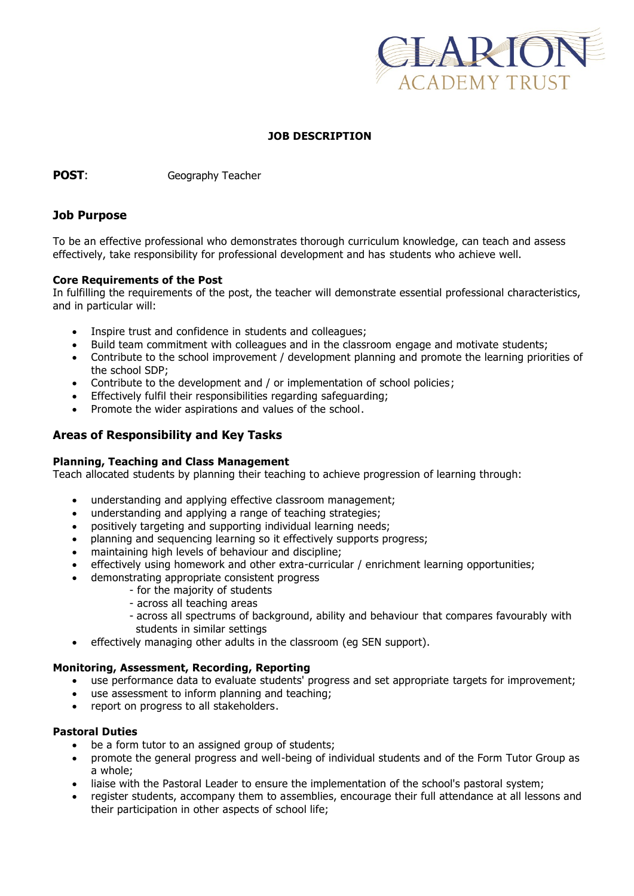

### **JOB DESCRIPTION**

**POST:** Geography Teacher

### **Job Purpose**

To be an effective professional who demonstrates thorough curriculum knowledge, can teach and assess effectively, take responsibility for professional development and has students who achieve well.

#### **Core Requirements of the Post**

In fulfilling the requirements of the post, the teacher will demonstrate essential professional characteristics, and in particular will:

- Inspire trust and confidence in students and colleagues;
- Build team commitment with colleagues and in the classroom engage and motivate students;
- Contribute to the school improvement / development planning and promote the learning priorities of the school SDP;
- Contribute to the development and / or implementation of school policies;
- Effectively fulfil their responsibilities regarding safeguarding;
- Promote the wider aspirations and values of the school.

# **Areas of Responsibility and Key Tasks**

#### **Planning, Teaching and Class Management**

Teach allocated students by planning their teaching to achieve progression of learning through:

- understanding and applying effective classroom management;
- understanding and applying a range of teaching strategies;
- positively targeting and supporting individual learning needs;
- planning and sequencing learning so it effectively supports progress;
- maintaining high levels of behaviour and discipline;
- effectively using homework and other extra-curricular / enrichment learning opportunities;
	- demonstrating appropriate consistent progress
		- for the majority of students
		- across all teaching areas
		- across all spectrums of background, ability and behaviour that compares favourably with students in similar settings
- effectively managing other adults in the classroom (eg SEN support).

# **Monitoring, Assessment, Recording, Reporting**

- use performance data to evaluate students' progress and set appropriate targets for improvement;
- use assessment to inform planning and teaching;
- report on progress to all stakeholders.

# **Pastoral Duties**

- be a form tutor to an assigned group of students;
- promote the general progress and well-being of individual students and of the Form Tutor Group as a whole;
- liaise with the Pastoral Leader to ensure the implementation of the school's pastoral system;
- register students, accompany them to assemblies, encourage their full attendance at all lessons and their participation in other aspects of school life;